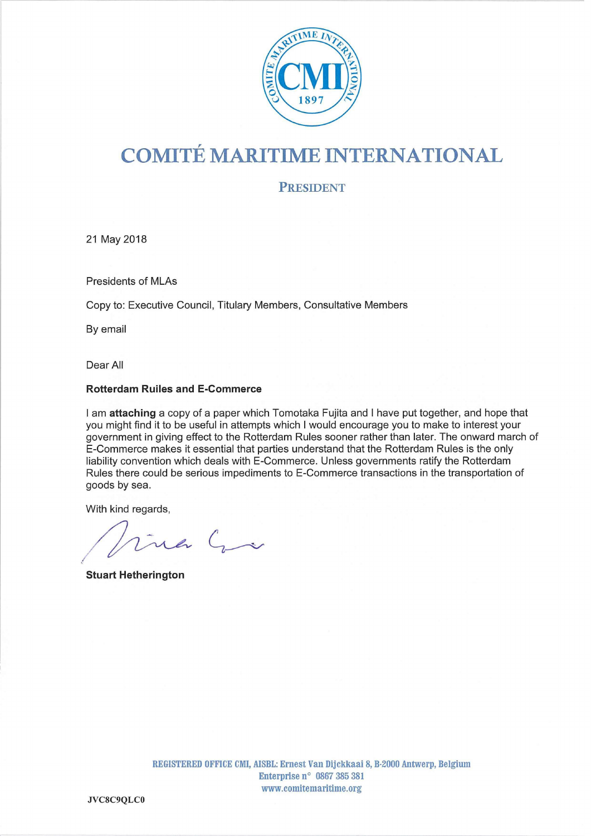

# COMITE MARITIME INTERNATIONAL

PRESIDENT

21 May 2018

Presidents of MLAs

Copy to: Executive Council, Titulary Members, Consultative Members

By email

Dear All

#### Rotterdam Ruiles and E-Commerce

I am attaching a copy of a paper which Tomotaka Fujita and I have put together, and hope that you might find it to be useful in attempts which I would encourage you to make to interest your government in giving effect to the Rotterdam Rules sooner rather than later. The onward march of E-Commerce makes it essential that parties understand that the Rotterdam Rules is the only liability convention which deals with E-Commerce. Unless governments ratify the Rotterdam Rules there could be serious impediments to E-Commerce transactions in the transportation of goods by sea.

With kind regards,

 $\sqrt{2}$  $c_{\sim}$ 

Stuart Hetherington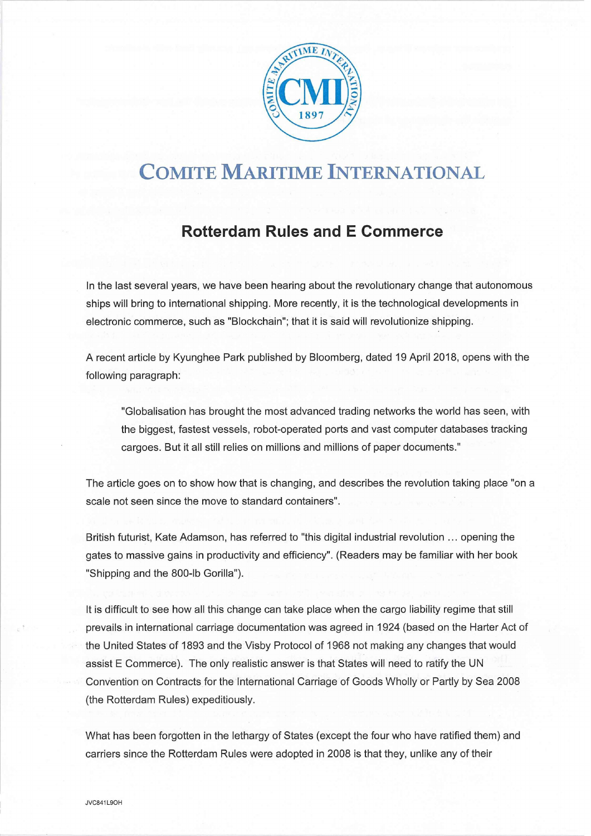

## COMITE MARITIME INTERNATIONAL

### Rotterdam Rules and E Commerce

In the last several years, we have been hearing about the revolutionary change that autonomous ships will bring to international shipping. More recently, it is the technological developments in electronic commerce, such as "Blockchain"; that it is said will revolutionize shipping.

A recent article by Kyunghee Park published by Bloomberg, dated 19 April 2018, opens with the following paragraph:

"Globalisation has brought the most advanced trading networks the world has seen, with the biggest, fastest vessels, robot-operated ports and vast computer databases tracking cargoes. But it all still relies on millions and millions of paper documents."

The article goes on to show how that is changing, and describes the revolution taking place "on a scale not seen since the move to standard containers".

British futurist, Kate Adamson, has referred to "this digital industrial revolution ... opening the gates to massive gains in productivity and efficiency". (Readers may be familiar with her book "Shipping and the 800-Ib Gorilla").

It is difficult to see how all this change can take place when the cargo liability regime that still prevails in international carriage documentation was agreed in 1924 (based on the Harter Act of the United States of 1893 and the Visby Protocol of 1968 not making any changes that would assist E Commerce). The only realistic answer is that States will need to ratify the UN Convention on Contracts for the International Carriage of Goods Wholly or Partly by Sea 2008 (the Rotterdam Rules) expeditiously.

What has been forgotten in the lethargy of States (except the four who have ratified them) and carriers since the Rotterdam Rules were adopted in 2008 is that they, unlike any of their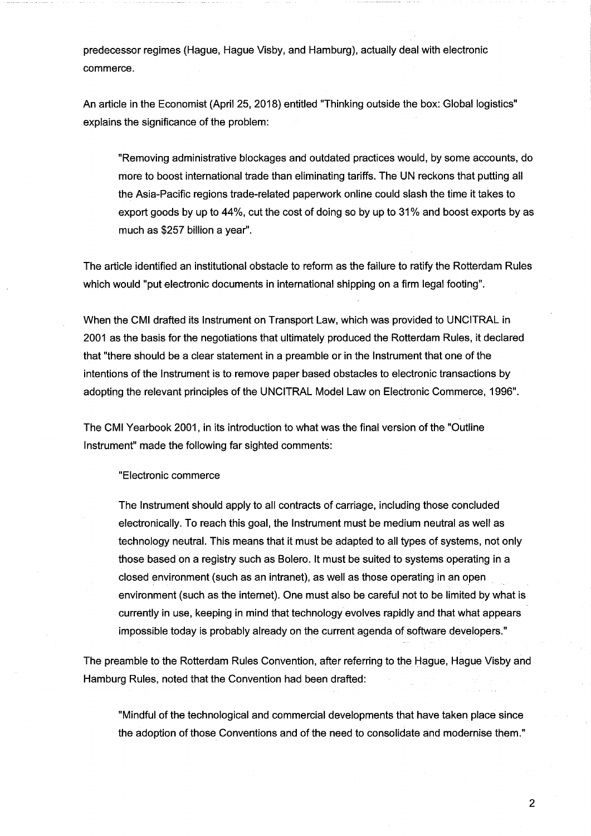predecessor regimes (Hague, Hague Visby, and Hamburg), actually deal with electronic commerce.

An article in the Economist (April 25, 2018) entitled "Thinking outside the-box: Global logistics" explains the significance of the problem:

"Removing administrative blockages and outdated practices would, by some accounts, do more to boost international trade than eliminating tariffs. The UN reckons that putting all the Asia-Pacific regions trade-related paperwork online could slash the time it takes to export goods by up to 44%, cut the cost of doing so by up to 31% and boost exports by as much as \$257 billion a year".

The article identified an institutional obstacle to reform as the failure to ratify the Rotterdam Rules which would "put electronic documents in international shipping on a firm legal footing".

When the CMI drafted its Instrument on Transport Law, which was provided to UNCITRAL in 2001 as the basis for the negotiations that ultimately produced the Rotterdam Rules, it declared that "there should be a clear statement in a preamble or in the Instrument that one of the <sup>i</sup> ntentions of the Instrument is to remove paper based obstacles to electronic transactions by adopting the relevant principles of the UNCITRAL Model Law on Electronic Commerce, 1996".

The CMI Yearbook 2001, in its introduction to what was the final version of the "Outline Instrument" made the following far sighted comments:

"Electronic commerce

The Instrument should apply to all contracts of carriage, including those concluded electronically. To reach this goal, the Instrument must be medium neutral as well as technology neutral. This means that it must be adapted to all types of systems, not only those based on a registry such as Bolero. It must be suited to systems operating in a closed environment (such as an Intranet), as well as those operating in an open environment (such as the Internet). One must also be careful not to be limited by what is currently in use, keeping in mind that technology evolves rapidly and that what appears impossible today is probably already on the current agenda of software developers."

The preamble to the Rotterdam Rules Convention, after referring to the Hague, Hague Visby and Hamburg Rules, noted that the Convention had been drafted:

"Mindful of the technological and commercial developments that have taken place since the adoption of those Conventions and of the need to consolidate and modernise them."

E